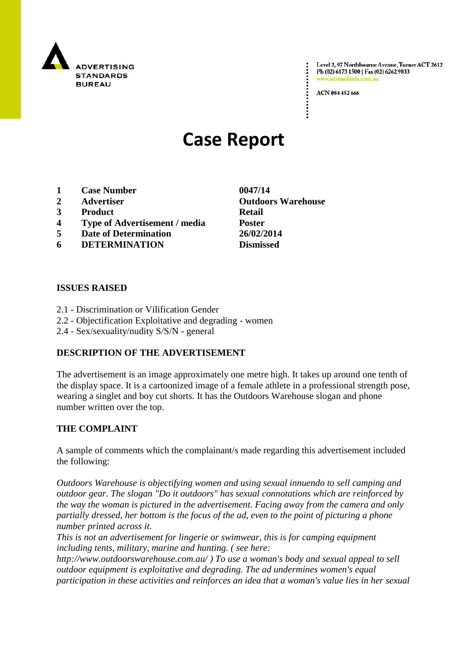

Level 2, 97 Northbourne Avenue, Turner ACT 2612 Ph (02) 6173 1500 | Fax (02) 6262 9833 www.adstandards.

ACN 084 452 666

# **Case Report**

- **1 Case Number 0047/14**
- 
- **3 Product Retail**
- **4 Type of Advertisement / media Poster**
- **5 Date of Determination 26/02/2014**
- **6 DETERMINATION Dismissed**

### **ISSUES RAISED**

- 2.1 Discrimination or Vilification Gender
- 2.2 Objectification Exploitative and degrading women
- 2.4 Sex/sexuality/nudity S/S/N general

### **DESCRIPTION OF THE ADVERTISEMENT**

The advertisement is an image approximately one metre high. It takes up around one tenth of the display space. It is a cartoonized image of a female athlete in a professional strength pose, wearing a singlet and boy cut shorts. It has the Outdoors Warehouse slogan and phone number written over the top.

### **THE COMPLAINT**

A sample of comments which the complainant/s made regarding this advertisement included the following:

*Outdoors Warehouse is objectifying women and using sexual innuendo to sell camping and outdoor gear. The slogan "Do it outdoors" has sexual connotations which are reinforced by the way the woman is pictured in the advertisement. Facing away from the camera and only partially dressed, her bottom is the focus of the ad, even to the point of picturing a phone number printed across it.*

*This is not an advertisement for lingerie or swimwear, this is for camping equipment including tents, military, marine and hunting. ( see here:* 

*http://www.outdoorswarehouse.com.au/ ) To use a woman's body and sexual appeal to sell outdoor equipment is exploitative and degrading. The ad undermines women's equal participation in these activities and reinforces an idea that a woman's value lies in her sexual* 

**2 Advertiser Outdoors Warehouse**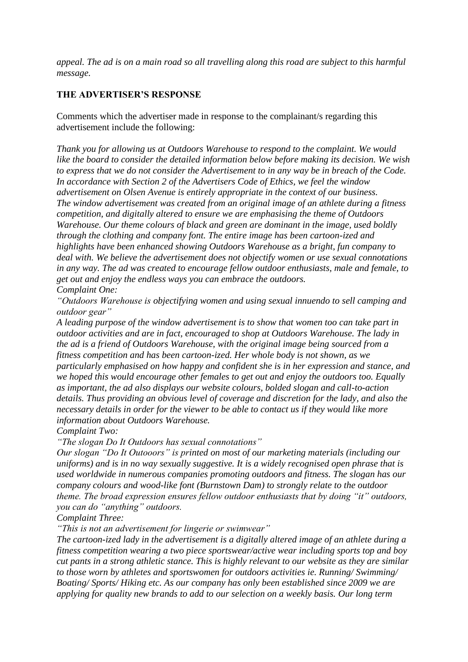*appeal. The ad is on a main road so all travelling along this road are subject to this harmful message.*

### **THE ADVERTISER'S RESPONSE**

Comments which the advertiser made in response to the complainant/s regarding this advertisement include the following:

*Thank you for allowing us at Outdoors Warehouse to respond to the complaint. We would like the board to consider the detailed information below before making its decision. We wish to express that we do not consider the Advertisement to in any way be in breach of the Code. In accordance with Section 2 of the Advertisers Code of Ethics, we feel the window advertisement on Olsen Avenue is entirely appropriate in the context of our business. The window advertisement was created from an original image of an athlete during a fitness competition, and digitally altered to ensure we are emphasising the theme of Outdoors Warehouse. Our theme colours of black and green are dominant in the image, used boldly through the clothing and company font. The entire image has been cartoon-ized and highlights have been enhanced showing Outdoors Warehouse as a bright, fun company to deal with. We believe the advertisement does not objectify women or use sexual connotations in any way. The ad was created to encourage fellow outdoor enthusiasts, male and female, to get out and enjoy the endless ways you can embrace the outdoors. Complaint One:*

*"Outdoors Warehouse is objectifying women and using sexual innuendo to sell camping and outdoor gear"*

*A leading purpose of the window advertisement is to show that women too can take part in outdoor activities and are in fact, encouraged to shop at Outdoors Warehouse. The lady in the ad is a friend of Outdoors Warehouse, with the original image being sourced from a fitness competition and has been cartoon-ized. Her whole body is not shown, as we particularly emphasised on how happy and confident she is in her expression and stance, and we hoped this would encourage other females to get out and enjoy the outdoors too. Equally as important, the ad also displays our website colours, bolded slogan and call-to-action details. Thus providing an obvious level of coverage and discretion for the lady, and also the necessary details in order for the viewer to be able to contact us if they would like more information about Outdoors Warehouse.*

*Complaint Two:*

*"The slogan Do It Outdoors has sexual connotations"*

*Our slogan "Do It Outooors" is printed on most of our marketing materials (including our uniforms) and is in no way sexually suggestive. It is a widely recognised open phrase that is used worldwide in numerous companies promoting outdoors and fitness. The slogan has our company colours and wood-like font (Burnstown Dam) to strongly relate to the outdoor theme. The broad expression ensures fellow outdoor enthusiasts that by doing "it" outdoors, you can do "anything" outdoors.*

*Complaint Three:*

*"This is not an advertisement for lingerie or swimwear"*

*The cartoon-ized lady in the advertisement is a digitally altered image of an athlete during a fitness competition wearing a two piece sportswear/active wear including sports top and boy cut pants in a strong athletic stance. This is highly relevant to our website as they are similar to those worn by athletes and sportswomen for outdoors activities ie. Running/ Swimming/ Boating/ Sports/ Hiking etc. As our company has only been established since 2009 we are applying for quality new brands to add to our selection on a weekly basis. Our long term*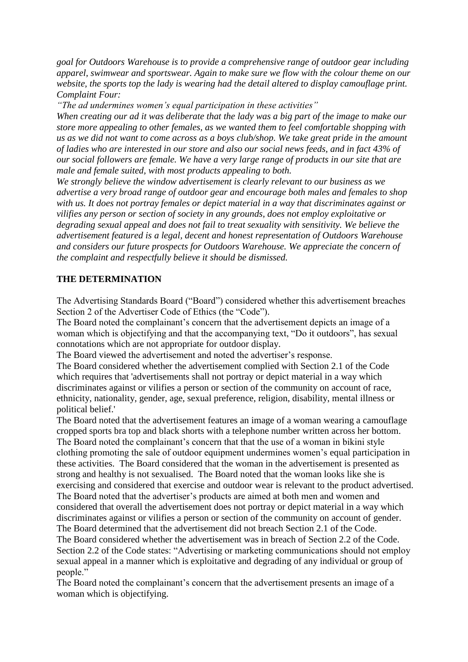*goal for Outdoors Warehouse is to provide a comprehensive range of outdoor gear including apparel, swimwear and sportswear. Again to make sure we flow with the colour theme on our website, the sports top the lady is wearing had the detail altered to display camouflage print. Complaint Four:*

*"The ad undermines women's equal participation in these activities"*

*When creating our ad it was deliberate that the lady was a big part of the image to make our store more appealing to other females, as we wanted them to feel comfortable shopping with us as we did not want to come across as a boys club/shop. We take great pride in the amount of ladies who are interested in our store and also our social news feeds, and in fact 43% of our social followers are female. We have a very large range of products in our site that are male and female suited, with most products appealing to both.*

*We strongly believe the window advertisement is clearly relevant to our business as we advertise a very broad range of outdoor gear and encourage both males and females to shop with us. It does not portray females or depict material in a way that discriminates against or vilifies any person or section of society in any grounds, does not employ exploitative or degrading sexual appeal and does not fail to treat sexuality with sensitivity. We believe the advertisement featured is a legal, decent and honest representation of Outdoors Warehouse and considers our future prospects for Outdoors Warehouse. We appreciate the concern of the complaint and respectfully believe it should be dismissed.*

## **THE DETERMINATION**

The Advertising Standards Board ("Board") considered whether this advertisement breaches Section 2 of the Advertiser Code of Ethics (the "Code").

The Board noted the complainant's concern that the advertisement depicts an image of a woman which is objectifying and that the accompanying text, "Do it outdoors", has sexual connotations which are not appropriate for outdoor display.

The Board viewed the advertisement and noted the advertiser's response.

The Board considered whether the advertisement complied with Section 2.1 of the Code which requires that 'advertisements shall not portray or depict material in a way which discriminates against or vilifies a person or section of the community on account of race, ethnicity, nationality, gender, age, sexual preference, religion, disability, mental illness or political belief.'

The Board noted that the advertisement features an image of a woman wearing a camouflage cropped sports bra top and black shorts with a telephone number written across her bottom. The Board noted the complainant's concern that that the use of a woman in bikini style clothing promoting the sale of outdoor equipment undermines women's equal participation in these activities. The Board considered that the woman in the advertisement is presented as strong and healthy is not sexualised. The Board noted that the woman looks like she is exercising and considered that exercise and outdoor wear is relevant to the product advertised. The Board noted that the advertiser's products are aimed at both men and women and considered that overall the advertisement does not portray or depict material in a way which discriminates against or vilifies a person or section of the community on account of gender. The Board determined that the advertisement did not breach Section 2.1 of the Code.

The Board considered whether the advertisement was in breach of Section 2.2 of the Code. Section 2.2 of the Code states: "Advertising or marketing communications should not employ sexual appeal in a manner which is exploitative and degrading of any individual or group of people."

The Board noted the complainant's concern that the advertisement presents an image of a woman which is objectifying.